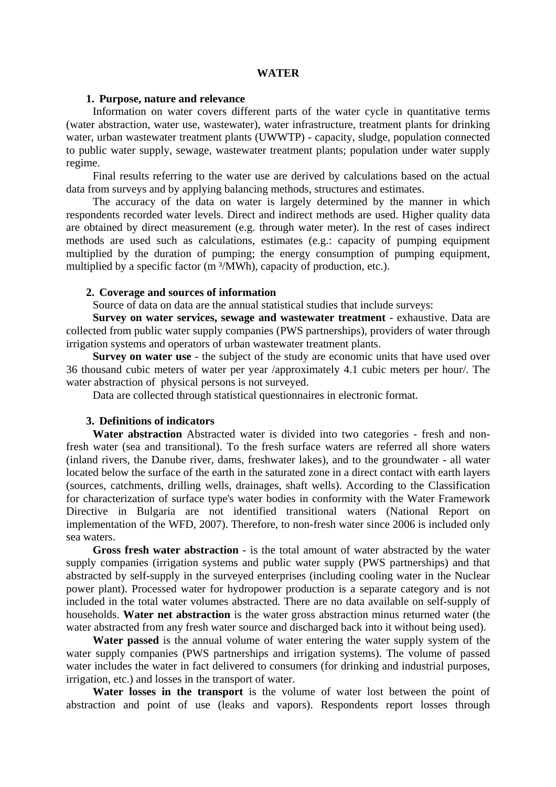## **WATER**

## **1. Purpose, nature and relevance**

Information on water covers different parts of the water cycle in quantitative terms (water abstraction, water use, wastewater), water infrastructure, treatment plants for drinking water, urban wastewater treatment plants (UWWTP) - capacity, sludge, population connected to public water supply, sewage, wastewater treatment plants; population under water supply regime.

Final results referring to the water use are derived by calculations based on the actual data from surveys and by applying balancing methods, structures and estimates.

The accuracy of the data on water is largely determined by the manner in which respondents recorded water levels. Direct and indirect methods are used. Higher quality data are obtained by direct measurement (e.g. through water meter). In the rest of cases indirect methods are used such as calculations, estimates (e.g.: capacity of pumping equipment multiplied by the duration of pumping; the energy consumption of pumping equipment, multiplied by a specific factor (m<sup>3</sup>/MWh), capacity of production, etc.).

# **2. Coverage and sources of information**

Source of data on data are the annual statistical studies that include surveys:

**Survey on water services, sewage and wastewater treatment** - exhaustive. Data are collected from public water supply companies (PWS partnerships), providers of water through irrigation systems and operators of urban wastewater treatment plants.

**Survey on water use** - the subject of the study are economic units that have used over 36 thousand cubic meters of water per year /approximately 4.1 cubic meters per hour/. The water abstraction of physical persons is not surveyed.

Data are collected through statistical questionnaires in electronic format.

#### **3. Definitions of indicators**

**Water abstraction** Abstracted water is divided into two categories - fresh and nonfresh water (sea and transitional). To the fresh surface waters are referred all shore waters (inland rivers, the Danube river, dams, freshwater lakes), and to the groundwater - all water located below the surface of the earth in the saturated zone in a direct contact with earth layers (sources, catchments, drilling wells, drainages, shaft wells). According to the Classification for characterization of surface type's water bodies in conformity with the Water Framework Directive in Bulgaria are not identified transitional waters (National Report on implementation of the WFD, 2007). Therefore, to non-fresh water since 2006 is included only sea waters.

**Gross fresh water abstraction** - is the total amount of water abstracted by the water supply companies (irrigation systems and public water supply (PWS partnerships) and that abstracted by self-supply in the surveyed enterprises (including cooling water in the Nuclear power plant). Processed water for hydropower production is a separate category and is not included in the total water volumes abstracted. There are no data available on self-supply of households. **Water net abstraction** is the water gross abstraction minus returned water (the water abstracted from any fresh water source and discharged back into it without being used).

**Water passed** is the annual volume of water entering the water supply system of the water supply companies (PWS partnerships and irrigation systems). The volume of passed water includes the water in fact delivered to consumers (for drinking and industrial purposes, irrigation, etc.) and losses in the transport of water.

**Water losses in the transport** is the volume of water lost between the point of abstraction and point of use (leaks and vapors). Respondents report losses through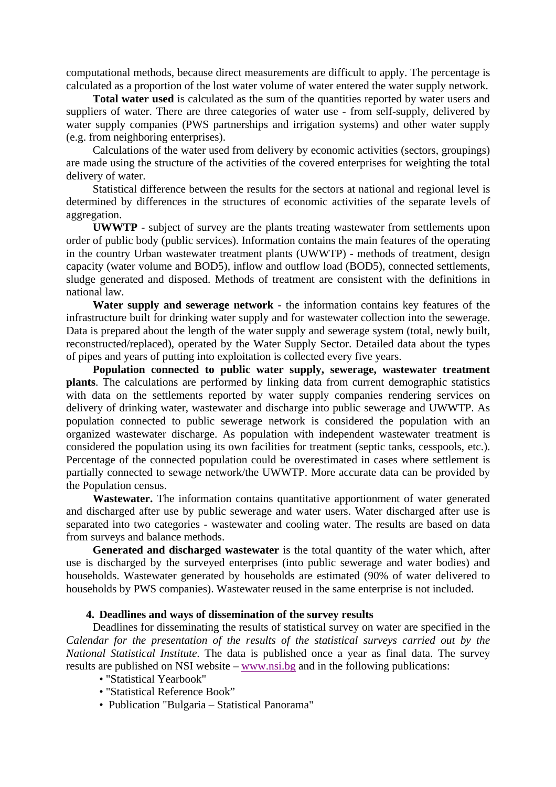computational methods, because direct measurements are difficult to apply. The percentage is calculated as a proportion of the lost water volume of water entered the water supply network.

**Total water used** is calculated as the sum of the quantities reported by water users and suppliers of water. There are three categories of water use - from self-supply, delivered by water supply companies (PWS partnerships and irrigation systems) and other water supply (e.g. from neighboring enterprises).

Calculations of the water used from delivery by economic activities (sectors, groupings) are made using the structure of the activities of the covered enterprises for weighting the total delivery of water.

Statistical difference between the results for the sectors at national and regional level is determined by differences in the structures of economic activities of the separate levels of aggregation.

**UWWTP** - subject of survey are the plants treating wastewater from settlements upon order of public body (public services). Information contains the main features of the operating in the country Urban wastewater treatment plants (UWWTP) - methods of treatment, design capacity (water volume and BOD5), inflow and outflow load (BOD5), connected settlements, sludge generated and disposed. Methods of treatment are consistent with the definitions in national law.

**Water supply and sewerage network** - the information contains key features of the infrastructure built for drinking water supply and for wastewater collection into the sewerage. Data is prepared about the length of the water supply and sewerage system (total, newly built, reconstructed/replaced), operated by the Water Supply Sector. Detailed data about the types of pipes and years of putting into exploitation is collected every five years.

**Population connected to public water supply, sewerage, wastewater treatment plants**. The calculations are performed by linking data from current demographic statistics with data on the settlements reported by water supply companies rendering services on delivery of drinking water, wastewater and discharge into public sewerage and UWWTP. As population connected to public sewerage network is considered the population with an organized wastewater discharge. As population with independent wastewater treatment is considered the population using its own facilities for treatment (septic tanks, cesspools, etc.). Percentage of the connected population could be overestimated in cases where settlement is partially connected to sewage network/the UWWTP. More accurate data can be provided by the Population census.

**Wastewater.** The information contains quantitative apportionment of water generated and discharged after use by public sewerage and water users. Water discharged after use is separated into two categories - wastewater and cooling water. The results are based on data from surveys and balance methods.

**Generated and discharged wastewater** is the total quantity of the water which, after use is discharged by the surveyed enterprises (into public sewerage and water bodies) and households. Wastewater generated by households are estimated (90% of water delivered to households by PWS companies). Wastewater reused in the same enterprise is not included.

## **4. Deadlines and ways of dissemination of the survey results**

Deadlines for disseminating the results of statistical survey on water are specified in the *Calendar for the presentation of the results of the statistical surveys carried out by the National Statistical Institute*. The data is published once a year as final data. The survey results are published on NSI website – www.nsi.bg and in the following publications:

- "Statistical Yearbook"
- "Statistical Reference Book"
- Publication "Bulgaria Statistical Panorama"